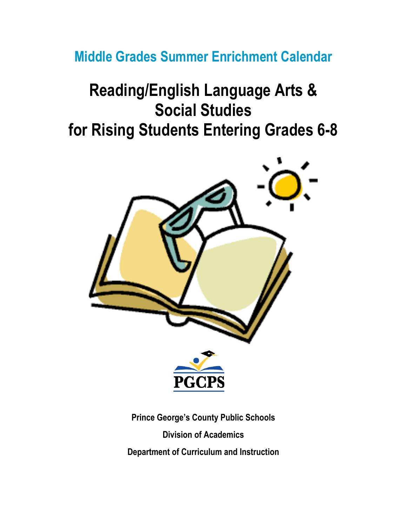**Middle Grades Summer Enrichment Calendar**

# **Reading/English Language Arts & Social Studies for Rising Students Entering Grades 6-8**



**Prince George's County Public Schools Division of Academics Department of Curriculum and Instruction**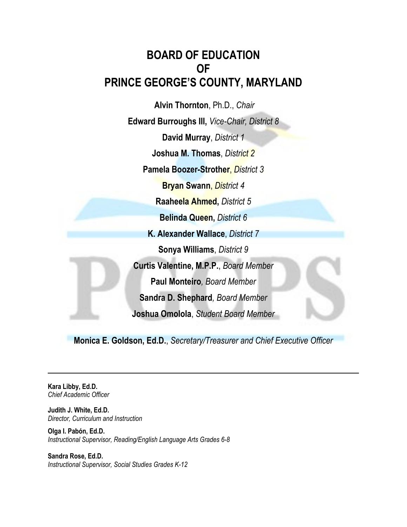#### **BOARD OF EDUCATION OF PRINCE GEORGE'S COUNTY, MARYLAND**

**Alvin Thornton**, Ph.D., *Chair* **Edward Burroughs III,** *Vice-Chair, District 8* **David Murray**, *District 1* **Joshua M. Thomas**, *District 2* **Pamela Boozer-Strother**, *District 3* **Bryan Swann**, *District 4* **Raaheela Ahmed,** *District 5* **Belinda Queen,** *District 6* **K. Alexander Wallace**, *District 7* **Sonya Williams**, *District 9* **Curtis Valentine, M.P.P.**, *Board Member* **Paul Monteiro***, Board Member* **Sandra D. Shephard***, Board Member* **Joshua Omolola**, *Student Board Member*

**Monica E. Goldson, Ed.D.**, *Secretary/Treasurer and Chief Executive Officer*

**Kara Libby, Ed.D.** *Chief Academic Officer*

**Judith J. White, Ed.D.** *Director, Curriculum and Instruction*

**Olga I. Pabón, Ed.D.** *Instructional Supervisor, Reading/English Language Arts Grades 6-8*

**Sandra Rose, Ed.D.** *Instructional Supervisor, Social Studies Grades K-12*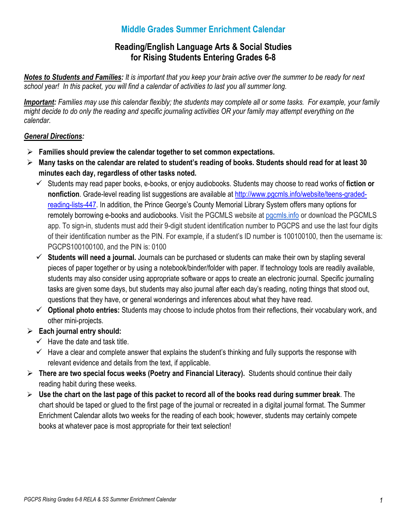#### **Middle Grades Summer Enrichment Calendar**

#### **Reading/English Language Arts & Social Studies for Rising Students Entering Grades 6-8**

*Notes to Students and Families: It is important that you keep your brain active over the summer to be ready for next school year! In this packet, you will find a calendar of activities to last you all summer long.* 

*Important: Families may use this calendar flexibly; the students may complete all or some tasks. For example, your family might decide to do only the reading and specific journaling activities OR your family may attempt everything on the calendar.* 

#### *General Directions:*

- **Families should preview the calendar together to set common expectations.**
- **Many tasks on the calendar are related to student's reading of books. Students should read for at least 30 minutes each day, regardless of other tasks noted.** 
	- Students may read paper books, e-books, or enjoy audiobooks. Students may choose to read works of **fiction or nonfiction**. Grade-level reading list suggestions are available at [http://www.pgcmls.info/website/teens-graded](http://www.pgcmls.info/website/teens-graded-reading-lists-447)[reading-lists-447.](http://www.pgcmls.info/website/teens-graded-reading-lists-447) In addition, the Prince George's County Memorial Library System offers many options for remotely borrowing e-books and audiobooks. Visit the PGCMLS website at [pgcmls.info](http://www.pgcmls.info/) or download the PGCMLS app. To sign-in, students must add their 9-digit student identification number to PGCPS and use the last four digits of their identification number as the PIN. For example, if a student's ID number is 100100100, then the username is: PGCPS100100100, and the PIN is: 0100
	- **Students will need a journal.** Journals can be purchased or students can make their own by stapling several pieces of paper together or by using a notebook/binder/folder with paper. If technology tools are readily available, students may also consider using appropriate software or apps to create an electronic journal. Specific journaling tasks are given some days, but students may also journal after each day's reading, noting things that stood out, questions that they have, or general wonderings and inferences about what they have read.
	- **Optional photo entries:** Students may choose to include photos from their reflections, their vocabulary work, and other mini-projects.
- **Each journal entry should:**
	- $\checkmark$  Have the date and task title.
	- $\checkmark$  Have a clear and complete answer that explains the student's thinking and fully supports the response with relevant evidence and details from the text, if applicable.
- **There are two special focus weeks (Poetry and Financial Literacy).** Students should continue their daily reading habit during these weeks.
- **Use the chart on the last page of this packet to record all of the books read during summer break**. The chart should be taped or glued to the first page of the journal or recreated in a digital journal format. The Summer Enrichment Calendar allots two weeks for the reading of each book; however, students may certainly compete books at whatever pace is most appropriate for their text selection!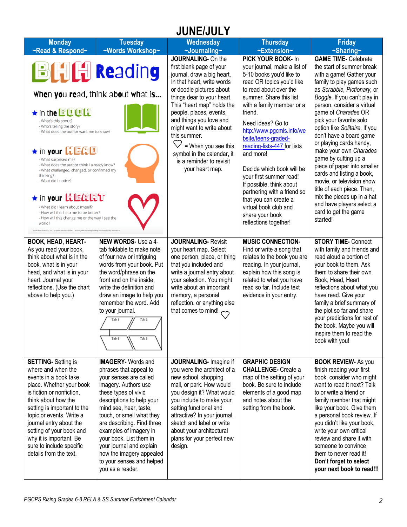# **JUNE/JULY**

| <b>Monday</b><br>~Read & Respond~                                                                                                                                                                                                                                                                                                                            | <b>Tuesday</b><br>~Words Workshop~                                                                                                                                                                                                                                                                                                                                                                            | <b>Wednesday</b><br>~Journaling~                                                                                                                                                                                                                                                                                               | <b>Thursday</b><br>~Extension~                                                                                                                                                                                                    | <b>Friday</b><br>$\sim$ Sharing $\sim$                                                                                                                                                                                                                                                                                                                                                                                           |
|--------------------------------------------------------------------------------------------------------------------------------------------------------------------------------------------------------------------------------------------------------------------------------------------------------------------------------------------------------------|---------------------------------------------------------------------------------------------------------------------------------------------------------------------------------------------------------------------------------------------------------------------------------------------------------------------------------------------------------------------------------------------------------------|--------------------------------------------------------------------------------------------------------------------------------------------------------------------------------------------------------------------------------------------------------------------------------------------------------------------------------|-----------------------------------------------------------------------------------------------------------------------------------------------------------------------------------------------------------------------------------|----------------------------------------------------------------------------------------------------------------------------------------------------------------------------------------------------------------------------------------------------------------------------------------------------------------------------------------------------------------------------------------------------------------------------------|
|                                                                                                                                                                                                                                                                                                                                                              |                                                                                                                                                                                                                                                                                                                                                                                                               | JOURNALING- On the                                                                                                                                                                                                                                                                                                             | PICK YOUR BOOK- In                                                                                                                                                                                                                | <b>GAME TIME- Celebrate</b>                                                                                                                                                                                                                                                                                                                                                                                                      |
| <b>BHH Reading</b>                                                                                                                                                                                                                                                                                                                                           | When you read, think about what is                                                                                                                                                                                                                                                                                                                                                                            | first blank page of your<br>journal, draw a big heart.<br>In that heart, write words<br>or doodle pictures about<br>things dear to your heart.                                                                                                                                                                                 | your journal, make a list of<br>5-10 books you'd like to<br>read OR topics you'd like<br>to read about over the<br>summer. Share this list                                                                                        | the start of summer break<br>with a game! Gather your<br>family to play games such<br>as Scrabble, Pictionary, or<br>Boggle. If you can't play in                                                                                                                                                                                                                                                                                |
| ★ in the <b>BOOK</b><br>- What's this about?<br>- Who's telling the story?<br>- What does the author want me to know?<br><b>*</b> in your HEAD<br>- What surprised me?<br>- What does the author think I already know?<br>- What challenged, changed, or confirmed my<br>thinking?<br>- What did I notice?                                                   |                                                                                                                                                                                                                                                                                                                                                                                                               | This "heart map" holds the<br>people, places, events,<br>and things you love and<br>might want to write about<br>this summer.<br>= When you see this<br>symbol in the calendar, it<br>is a reminder to revisit<br>your heart map.                                                                                              | with a family member or a<br>friend.<br>Need ideas? Go to<br>http://www.pgcmls.info/we<br>bsite/teens-graded-<br>reading-lists-447 for lists<br>and more!<br>Decide which book will be<br>your first summer read!                 | person, consider a virtual<br>game of Charades OR<br>pick your favorite solo<br>option like Solitaire. If you<br>don't have a board game<br>or playing cards handy,<br>make your own Charades<br>game by cutting up a<br>piece of paper into smaller<br>cards and listing a book,                                                                                                                                                |
| <b>* in your HEART</b><br>- What did I learn about myself?<br>- How will this help me to be better?<br>- How will this change me or the way I see the<br>world?<br>Book Head Heart is (c) 2017 by Kylene Beers and Robert E. Probst from Disrupting Thinking (Port                                                                                           |                                                                                                                                                                                                                                                                                                                                                                                                               |                                                                                                                                                                                                                                                                                                                                | If possible, think about<br>partnering with a friend so<br>that you can create a<br>virtual book club and<br>share your book<br>reflections together!                                                                             | movie, or television show<br>title of each piece. Then,<br>mix the pieces up in a hat<br>and have players select a<br>card to get the game<br>started!                                                                                                                                                                                                                                                                           |
| <b>BOOK, HEAD, HEART-</b><br>As you read your book,<br>think about what is in the<br>book, what is in your<br>head, and what is in your<br>heart. Journal your<br>reflections. (Use the chart<br>above to help you.)                                                                                                                                         | NEW WORDS- Use a 4-<br>tab foldable to make note<br>of four new or intriguing<br>words from your book. Put<br>the word/phrase on the<br>front and on the inside,<br>write the definition and<br>draw an image to help you<br>remember the word. Add<br>to your journal.<br>Tab <sub>2</sub><br>Tab 4<br>Tab <sub>3</sub>                                                                                      | <b>JOURNALING- Revisit</b><br>your heart map. Select<br>one person, place, or thing<br>that you included and<br>write a journal entry about<br>your selection. You might<br>write about an important<br>memory, a personal<br>reflection, or anything else<br>that comes to mind!                                              | <b>MUSIC CONNECTION-</b><br>Find or write a song that<br>relates to the book you are<br>reading. In your journal,<br>explain how this song is<br>related to what you have<br>read so far. Include text<br>evidence in your entry. | <b>STORY TIME- Connect</b><br>with family and friends and<br>read aloud a portion of<br>your book to them. Ask<br>them to share their own<br>Book, Head, Heart<br>reflections about what you<br>have read. Give your<br>family a brief summary of<br>the plot so far and share<br>your predictions for rest of<br>the book. Maybe you will<br>inspire them to read the<br>book with you!                                         |
| <b>SETTING-</b> Setting is<br>where and when the<br>events in a book take<br>place. Whether your book<br>is fiction or nonfiction.<br>think about how the<br>setting is important to the<br>topic or events. Write a<br>journal entry about the<br>setting of your book and<br>why it is important. Be<br>sure to include specific<br>details from the text. | <b>IMAGERY- Words and</b><br>phrases that appeal to<br>your senses are called<br>imagery. Authors use<br>these types of vivid<br>descriptions to help your<br>mind see, hear, taste,<br>touch, or smell what they<br>are describing. Find three<br>examples of imagery in<br>your book. List them in<br>your journal and explain<br>how the imagery appealed<br>to your senses and helped<br>you as a reader. | JOURNALING- Imagine if<br>you were the architect of a<br>new school, shopping<br>mall, or park. How would<br>you design it? What would<br>you include to make your<br>setting functional and<br>attractive? In your journal,<br>sketch and label or write<br>about your architectural<br>plans for your perfect new<br>design. | <b>GRAPHIC DESIGN</b><br><b>CHALLENGE-</b> Create a<br>map of the setting of your<br>book. Be sure to include<br>elements of a good map<br>and notes about the<br>setting from the book.                                          | <b>BOOK REVIEW- As you</b><br>finish reading your first<br>book, consider who might<br>want to read it next? Talk<br>to or write a friend or<br>family member that might<br>like your book. Give them<br>a personal book review. If<br>you didn't like your book,<br>write your own critical<br>review and share it with<br>someone to convince<br>them to never read it!<br>Don't forget to select<br>your next book to read!!! |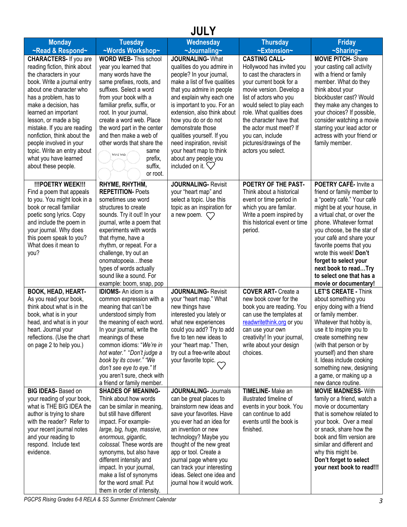## **JULY**

| <b>Monday</b>                                                                                                                                                                                                                                       | <b>Tuesday</b>                                                                                                                                                                                                                                                                                                                                                                                          | <b>Wednesday</b>                                                                                                                                                                                                                                                                                                                     | <b>Thursday</b>                                                                                                                                                                                                                       | <b>Friday</b>                                                                                                                                                                                                                                                                                                                                                                                 |
|-----------------------------------------------------------------------------------------------------------------------------------------------------------------------------------------------------------------------------------------------------|---------------------------------------------------------------------------------------------------------------------------------------------------------------------------------------------------------------------------------------------------------------------------------------------------------------------------------------------------------------------------------------------------------|--------------------------------------------------------------------------------------------------------------------------------------------------------------------------------------------------------------------------------------------------------------------------------------------------------------------------------------|---------------------------------------------------------------------------------------------------------------------------------------------------------------------------------------------------------------------------------------|-----------------------------------------------------------------------------------------------------------------------------------------------------------------------------------------------------------------------------------------------------------------------------------------------------------------------------------------------------------------------------------------------|
| ~Read & Respond~                                                                                                                                                                                                                                    | ~Words Workshop~                                                                                                                                                                                                                                                                                                                                                                                        | ~Journaling~                                                                                                                                                                                                                                                                                                                         | ~Extension~                                                                                                                                                                                                                           | $\sim$ Sharing $\sim$                                                                                                                                                                                                                                                                                                                                                                         |
| <b>CHARACTERS-</b> If you are<br>reading fiction, think about<br>the characters in your<br>book. Write a journal entry<br>about one character who<br>has a problem, has to                                                                          | <b>WORD WEB- This school</b><br>year you learned that<br>many words have the<br>same prefixes, roots, and<br>suffixes. Select a word<br>from your book with a                                                                                                                                                                                                                                           | <b>JOURNALING-What</b><br>qualities do you admire in<br>people? In your journal,<br>make a list of five qualities<br>that you admire in people<br>and explain why each one                                                                                                                                                           | <b>CASTING CALL-</b><br>Hollywood has invited you<br>to cast the characters in<br>your current book for a<br>movie version. Develop a<br>list of actors who you                                                                       | <b>MOVIE PITCH-Share</b><br>your casting call activity<br>with a friend or family<br>member. What do they<br>think about your<br>blockbuster cast? Would                                                                                                                                                                                                                                      |
| make a decision, has<br>learned an important<br>lesson, or made a big<br>mistake. If you are reading<br>nonfiction, think about the<br>people involved in your<br>topic. Write an entry about<br>what you have learned<br>about these people.       | familiar prefix, suffix, or<br>root. In your journal,<br>create a word web. Place<br>the word part in the center<br>and then make a web of<br>other words that share the<br>same<br>Word Web<br>prefix,<br>suffix,<br>or root.                                                                                                                                                                          | is important to you. For an<br>extension, also think about<br>how you do or do not<br>demonstrate those<br>qualities yourself. If you<br>need inspiration, revisit<br>your heart map to think<br>about any people you<br>included on it. $\bigvee$                                                                                   | would select to play each<br>role. What qualities does<br>the character have that<br>the actor must meet? If<br>you can, include<br>pictures/drawings of the<br>actors you select.                                                    | they make any changes to<br>your choices? If possible,<br>consider watching a movie<br>starring your lead actor or<br>actress with your friend or<br>family member.                                                                                                                                                                                                                           |
| !!!POETRY WEEK!!!<br>Find a poem that appeals<br>to you. You might look in a<br>book or recall familiar<br>poetic song lyrics. Copy<br>and include the poem in<br>your journal. Why does<br>this poem speak to you?<br>What does it mean to<br>you? | RHYME, RHYTHM,<br><b>REPETITION-Poets</b><br>sometimes use word<br>structures to create<br>sounds. Try it out! In your<br>journal, write a poem that<br>experiments with words<br>that rhyme, have a<br>rhythm, or repeat. For a<br>challenge, try out an<br>onomatopoeiathese<br>types of words actually<br>sound like a sound. For<br>example: boom, snap, pop                                        | <b>JOURNALING- Revisit</b><br>your "heart map" and<br>select a topic. Use this<br>topic as an inspiration for<br>a new poem. $\heartsuit$                                                                                                                                                                                            | POETRY OF THE PAST-<br>Think about a historical<br>event or time period in<br>which you are familar.<br>Write a poem inspired by<br>this historical event or time<br>period.                                                          | POETRY CAFÉ- Invite a<br>friend or family member to<br>a "poetry café." Your café<br>might be at your house, in<br>a virtual chat, or over the<br>phone. Whatever format<br>you choose, be the star of<br>your café and share your<br>favorite poems that you<br>wrote this week! Don't<br>forget to select your<br>next book to readTry<br>to select one that has a<br>movie or documentary! |
| BOOK, HEAD, HEART-<br>As you read your book,<br>think about what is in the<br>book, what is in your<br>head, and what is in your<br>heart. Journal your<br>reflections. (Use the chart<br>on page 2 to help you.)                                   | <b>IDIOMS-</b> An idiom is a<br>common expression with a<br>meaning that can't be<br>understood simply from<br>the meaning of each word.<br>In your journal, write the<br>meanings of these<br>common idioms: "We're in<br>hot water." "Don't judge a<br>book by its cover." "We<br>don't see eye to eye." If<br>you aren't sure, check with<br>a friend or family member.<br><b>SHADES OF MEANING-</b> | <b>JOURNALING- Revisit</b><br>your "heart map." What<br>new things have<br>interested you lately or<br>what new experiences<br>could you add? Try to add<br>five to ten new ideas to<br>your "heart map." Then,<br>try out a free-write about<br>your favorite topic. $\bigcirc$<br><b>JOURNALING- Journals</b>                      | <b>COVER ART- Create a</b><br>new book cover for the<br>book you are reading. You<br>can use the templates at<br>readwritethink.org or you<br>can use your own<br>creativity! In your journal,<br>write about your design<br>choices. | <b>LET'S CREATE - Think</b><br>about something you<br>enjoy doing with a friend<br>or family member.<br>Whatever that hobby is,<br>use it to inspire you to<br>create something new<br>(with that person or by<br>yourself) and then share<br>it. Ideas include cooking<br>something new, designing<br>a game, or making up a<br>new dance routine.                                           |
| <b>BIG IDEAS-</b> Based on<br>your reading of your book,<br>what is THE BIG IDEA the<br>author is trying to share<br>with the reader? Refer to<br>your recent journal notes<br>and your reading to<br>respond. Include text<br>evidence.            | Think about how words<br>can be similar in meaning,<br>but still have different<br>impact. For example-<br>large, big, huge, massive,<br>enormous, gigantic,<br>colossal. These words are<br>synonyms, but also have<br>different intensity and<br>impact. In your journal,<br>make a list of synonyms<br>for the word small. Put<br>them in order of intensity.                                        | can be great places to<br>brainstorm new ideas and<br>save your favorites. Have<br>you ever had an idea for<br>an invention or new<br>technology? Maybe you<br>thought of the new great<br>app or tool. Create a<br>journal page where you<br>can track your interesting<br>ideas. Select one idea and<br>journal how it would work. | <b>TIMELINE-</b> Make an<br>illustrated timeline of<br>events in your book. You<br>can continue to add<br>events until the book is<br>finished.                                                                                       | <b>MOVIE MADNESS- With</b><br>family or a friend, watch a<br>movie or documentary<br>that is somehow related to<br>your book. Over a meal<br>or snack, share how the<br>book and film version are<br>similar and different and<br>why this might be.<br>Don't forget to select<br>your next book to read!!!                                                                                   |

**PGCPS** Rising Grades 6-8 RELA & SS Summer Enrichment Calendar **3 3**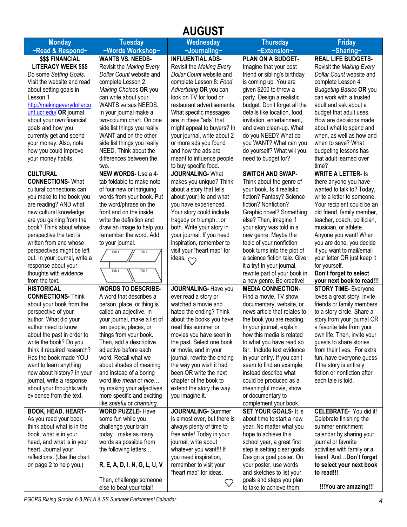# **AUGUST**

| <b>Monday</b>                                        | <b>Tuesday</b>                                       | Wednesday                                            | <b>Thursday</b>                                        | <b>Friday</b>                                          |
|------------------------------------------------------|------------------------------------------------------|------------------------------------------------------|--------------------------------------------------------|--------------------------------------------------------|
| ~Read & Respond~                                     | ~Words Workshop~                                     | ~Journaling~                                         | ~Extension~                                            | $\sim$ Sharing $\sim$                                  |
| <b>\$\$\$ FINANCIAL</b>                              | <b>WANTS VS. NEEDS-</b>                              | <b>INFLUENTIAL ADS-</b>                              | PLAN ON A BUDGET-                                      | <b>REAL LIFE BUDGETS-</b>                              |
| <b>LITERACY WEEK \$\$\$</b>                          | Revisit the Making Every                             | Revisit the Making Every                             | Imagine that your best                                 | Revisit the Making Every                               |
| Do some Setting Goals.                               | Dollar Count website and                             | Dollar Count website and                             | friend or sibling's birthday                           | Dollar Count website and                               |
| Visit the website and read                           | complete Lesson 2:                                   | complete Lesson 8: Food                              | is coming up. You are                                  | complete Lesson 4:                                     |
| about setting goals in                               | Making Choices OR you                                | Advertising OR you can                               | given \$200 to throw a                                 | <b>Budgeting Basics OR you</b>                         |
| Lesson 1                                             | can write about your                                 | look on TV for food or                               | party. Design a realistic                              | can work with a trusted                                |
| http://makingeverydollarco                           | <b>WANTS versus NEEDS.</b>                           | restaurant advertisements.                           | budget. Don't forget all the                           | adult and ask about a                                  |
| unt.ucr.edu/ OR journal                              | In your journal make a                               | What specific messages                               | details like location, food,                           | budget that adult uses.                                |
| about your own financial                             | two-column chart. On one                             | are in these "ads" that                              | invitation, entertainment,                             | How are decisions made                                 |
| goals and how you                                    | side list things you really                          | might appeal to buyers? In                           | and even clean-up. What                                | about what to spend and                                |
| currently get and spend                              | WANT and on the other                                | your journal, write about 2                          | do you NEED? What do                                   | when, as well as how and                               |
| your money. Also, note                               | side list things you really                          | or more ads you found                                | you WANT? What can you                                 | when to save? What                                     |
| how you could improve                                | NEED. Think about the                                | and how the ads are                                  | do yourself? What will you                             | budgeting lessons has                                  |
| your money habits.                                   | differences between the                              | meant to influence people                            | need to budget for?                                    | that adult learned over                                |
|                                                      | two.                                                 | to buy specific food.                                |                                                        | time?                                                  |
| <b>CULTURAL</b>                                      | NEW WORDS- Use a 4-                                  | JOURNALING-What                                      | <b>SWITCH AND SWAP-</b>                                | <b>WRITE A LETTER- Is</b>                              |
| <b>CONNECTIONS- What</b>                             | tab foldable to make note                            | makes you unique? Think                              | Think about the genre of                               | there anyone you have                                  |
| cultural connections can                             | of four new or intriguing                            | about a story that tells                             | your book. Is it realistic                             | wanted to talk to? Today,                              |
| you make to the book you                             | words from your book. Put                            | about your life and what                             | fiction? Fantasy? Science                              | write a letter to someone.                             |
| are reading? AND what                                | the word/phrase on the                               | you have experienced.                                | fiction? Nonfiction?                                   | Your recipient could be an                             |
| new cultural knowledge                               | front and on the inside,<br>write the definition and | Your story could include                             | Graphic novel? Something                               | old friend, family member,                             |
| are you gaining from the<br>book? Think about whose  | draw an image to help you                            | tragedy or triumphor<br>both. Write your story in    | else? Then, imagine if<br>your story was told in a     | teacher, coach, politician,<br>musician, or athlete.   |
| perspective the text is                              | remember the word. Add                               | your journal. If you need                            | new genre. Maybe the                                   | Anyone you want! When                                  |
| written from and whose                               | to your journal.                                     | inspiration, remember to                             | topic of your nonfiction                               | you are done, you decide                               |
| perspectives might be left                           | Tab <sub>2</sub><br>Tab 1                            | visit your "heart map" for                           | book turns into the plot of                            | if you want to mail/email                              |
| out. In your journal, write a                        |                                                      | ideas. <>                                            | a science fiction tale. Give                           | your letter OR just keep it                            |
| response about your                                  |                                                      |                                                      | it a try! In your journal,                             | for yourself.                                          |
| thoughts with evidence                               | Tab 4<br>Tab <sub>3</sub>                            |                                                      | rewrite part of your book in                           | Don't forget to select                                 |
| from the text.                                       |                                                      |                                                      | a new genre. Be creative!                              | your next book to read!!!                              |
| <b>HISTORICAL</b>                                    | <b>WORDS TO DESCRIBE-</b>                            | <b>JOURNALING- Have you</b>                          | <b>MEDIA CONNECTION-</b>                               | <b>STORY TIME- Everyone</b>                            |
| <b>CONNECTIONS- Think</b>                            | A word that describes a                              | ever read a story or                                 | Find a movie, TV show,                                 | loves a great story. Invite                            |
| about your book from the                             | person, place, or thing is                           | watched a movie and                                  | documentary, website, or                               | friends or family members                              |
| perspective of your                                  | called an adjective. In                              | hated the ending? Think                              | news article that relates to                           | to a story circle. Share a                             |
| author. What did your                                | your journal, make a list of                         | about the books you have                             | the book you are reading.                              | story from your journal OR                             |
| author need to know                                  | ten people, places, or                               | read this summer or                                  | In your journal, explain                               | a favorite tale from your                              |
| about the past in order to                           | things from your book.                               | movies you have seen in                              | how this media is related                              | own life. Then, invite your                            |
| write the book? Do you                               | Then, add a descriptive<br>adjective before each     | the past. Select one book                            | to what you have read so<br>far. Include text evidence | guests to share stories<br>from their lives. For extra |
| think it required research?<br>Has the book made YOU | word. Recall what we                                 | or movie, and in your<br>journal, rewrite the ending | in your entry. If you can't                            | fun, have everyone guess                               |
| want to learn anything                               | about shades of meaning                              | the way you wish it had                              | seem to find an example,                               | if the story is entirely                               |
| new about history? In your                           | and instead of a boring                              | been OR write the next                               | instead describe what                                  | fiction or nonfiction after                            |
| journal, write a response                            | word like mean or nice                               | chapter of the book to                               | could be produced as a                                 | each tale is told.                                     |
| about your thoughts with                             | try making your adjectives                           | extend the story the way                             | meaningful movie, show,                                |                                                        |
| evidence from the text.                              | more specific and exciting                           | you imagine it.                                      | or documentary to                                      |                                                        |
|                                                      | like spiteful or charming.                           |                                                      | complement your book.                                  |                                                        |
| <b>BOOK, HEAD, HEART-</b>                            | <b>WORD PUZZLE- Have</b>                             | <b>JOURNALING- Summer</b>                            | <b>SET YOUR GOALS- It is</b>                           | <b>CELEBRATE- You did it!</b>                          |
| As you read your book,                               | some fun while you                                   | is almost over, but there is                         | about time to start a new                              | Celebrate finishing the                                |
| think about what is in the                           | challenge your brain                                 | always plenty of time to                             | year. No matter what you                               | summer enrichment                                      |
| book, what is in your                                | todaymake as many                                    | free write! Today in your                            | hope to achieve this                                   | calendar by sharing your                               |
| head, and what is in your                            | words as possible from                               | journal, write about                                 | school year, a great first                             | journal or favorite                                    |
| heart. Journal your                                  | the following letters                                | whatever you want!!! If                              | step is setting clear goals.                           | activities with family or a                            |
| reflections. (Use the chart                          |                                                      | you need inspiration,                                | Design a goal poster. On                               | friend. And Don't forget                               |
| on page 2 to help you.)                              | R, E, A, D, I, N, G, L, U, V                         | remember to visit your<br>"heart map" for ideas.     | your poster, use words<br>and sketches to list your    | to select your next book<br>to read!!!                 |
|                                                      | Then, challenge someone                              |                                                      | goals and steps you plan                               |                                                        |
|                                                      | else to beat your total!                             | $\heartsuit$                                         | to take to achieve them.                               | !!!You are amazing!!!                                  |